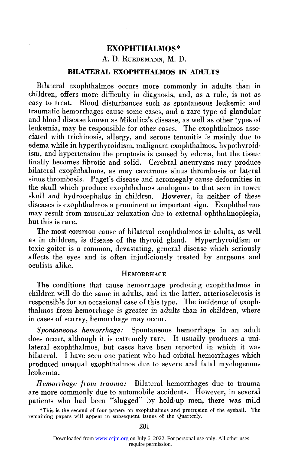# A. D. RUEDEMANN, M. D.

# **BILATERAL EXOPHTHALMOS IN ADULTS**

Bilateral exophthalmos occurs more commonly in adults than in children, offers more difficulty in diagnosis, and, as a rule, is not as easy to treat. Blood disturbances such as spontaneous leukemic and traumatic hemorrhages cause some cases, and a rare type of glandular and blood disease known as Mikulicz's disease, as well as other types of leukemia, may be responsible for other cases. The exophthalmos associated with trichinosis, allergy, and serous tenonitis is mainly due to edema while in hyperthyroidism, malignant exophthalmos, hypothyroidism, and hypertension the proptosis is caused by edema, but the tissue finally becomes fibrotic and solid. Cerebral aneurysms may produce bilateral exophthalmos, as may cavernous sinus thrombosis or lateral sinus thrombosis. Paget's disease and acromegaly cause deformities in the skull which produce exophthalmos analogous to that seen in tower skull and hydrocephalus in children. However, in neither of these diseases is exophthalmos a prominent or important sign. Exophthalmos may result from muscular relaxation due to external ophthalmoplegia, but this is rare.

The most common cause of bilateral exophthalmos in adults, as well as in children, is disease of the thyroid gland. Hyperthyroidism or toxic goiter is a common, devastating, general disease which seriously affects the eyes and is often injudiciously treated by surgeons and oculists alike.

# **HEMORRHAGE**

The conditions that cause hemorrhage producing exophthalmos in children will do the same in adults, and in the latter, arteriosclerosis is responsible for an occasional case of this type. The incidence of exophthalmos from hemorrhage is greater in adults than in children, where in cases of scurvy, hemorrhage may occur.

*Spontaneous hemorrhage:* Spontaneous hemorrhage in an adult does occur, although it is extremely rare. It usually produces a unilateral exophthalmos, but cases have been reported in which it was bilateral. I have seen one patient who had orbital hemorrhages which produced unequal exophthalmos due to severe and fatal myelogenous leukemia.

*Hemorrhage from trauma:* Bilateral hemorrhages due to trauma are more commonly due to automobile accidents. However, in several patients who had been "slugged" by hold-up men, there was mild

**\*This is the second of four papers on exophthalmos and protrusion of the eyeball. The remaining papers will appear in subsequent issues of the Quarterly.**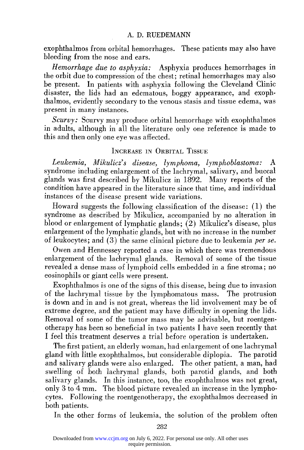exophthalmos from orbital hemorrhages. These patients may also have bleeding from the nose and ears.

*Hemorrhage due to asphyxia:* Asphyxia produces hemorrhages in the orbit due to compression of the chest; retinal hemorrhages may also be present. In patients with asphyxia following the Cleveland Clinic disaster, the lids had an edematous, boggy appearance, and exophthalmos, evidently secondary to the venous stasis and tissue edema, was present in many instances.

*Scurvy:* Scurvy may produce orbital hemorrhage with exophthalmos in adults, although in all the literature only one reference is made to this and then only one eye was affected.

## INCREASE IN ORBITAL TISSUE

*Leukemia, Mikulicz's disease, lymphoma, lymphoblastoma:* A syndrome including enlargement of the lachrymal, salivary, and buccal glands was first described by Mikulicz in 1892. Many reports of the condition have appeared in the literature since that time, and individual instances of the disease present wide variations.

Howard suggests the following classification of the disease: (1) the syndrome as described by Mikulicz, accompanied by no alteration in blood or enlargement of lymphatic glands; (2) Mikulicz's disease, plus enlargement of the lymphatic glands, but with no increase in the number of leukocytes; and (3) the same clinical picture due to leukemia *per se.* 

Owen and Hennessey reported a case in which there was tremendous enlargement of the lachrymal glands. Removal of some of the tissue revealed a dense mass of lymphoid cells embedded in a fine stroma; no eosinophils or giant cells were present.

Exophthalmos is one of the signs of this disease, being due to invasion of the lachrymal tissue by the lymphomatous mass. The protrusion is down and in and is not great, whereas the lid involvement may be of extreme degree, and the patient may have difficulty in opening the lids. Removal of some of the tumor mass may be advisable, but roentgenotherapy has been so beneficial in two patients I have seen recently that I feel this treatment deserves a trial before operation is undertaken.

The first patient, an elderly woman, had enlargement of one lachrymal gland with little exophthalmos, but considerable diplopia. The parotid and salivary glands were also enlarged. The other patient, a man, had swelling of both lachrymal glands, both parotid glands, and both salivary glands. In this instance, too, the exophthalmos was not great, only 3 to 4 mm. The blood picture revealed an increase in the lymphocytes. Following the roentgenotherapy, the exophthalmos decreased in both patients.

In the other forms of leukemia, the solution of the problem often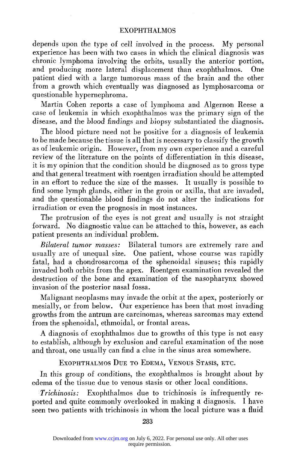depends upon the type of cell involved in the process. My personal experience has been with two cases in which the clinical diagnosis was chronic lymphoma involving the orbits, usually the anterior portion, and producing more lateral displacement than exophthalmos. One patient died with a large tumorous mass of the brain and the other from a growth which eventually was diagnosed as lymphosarcoma or questionable hypernephroma.

Martin Cohen reports a case of lymphoma and Algernon Reese a case of leukemia in which exophthalmos was the primary sign of the disease, and the blood findings and biopsy substantiated the diagnosis.

The blood picture need not be positive for a diagnosis of leukemia to be made because the tissue is all that is necessary to classify the growth as of leukemic origin. However, from my own experience and a careful review of the literature on the points of differentiation in this disease, it is my opinion that the condition should be diagnosed as to gross type and that general treatment with roentgen irradiation should be attempted in an effort to reduce the size of the masses. It usually is possible to find some lymph glands, either in the groin or axilla, that are invaded, and the questionable blood findings do not alter the indications for irradiation or even the prognosis in most instances.

The protrusion of the eyes is not great and usually is not straight forward. No diagnostic value can be attached to this, however, as each patient presents an individual problem.

*Bilateral tumor masses:* Bilateral tumors are extremely rare and usually are of unequal size. One patient, whose course was rapidly fatal, had a chondrosarcoma of the sphenoidal sinuses; this rapidly invaded both orbits from the apex. Roentgen examination revealed the destruction of the bone and examination of the nasopharynx showed invasion of the posterior nasal fossa.

Malignant neoplasms may invade the orbit at the apex, posteriorly or mesially, or from below. Our experience has been that most invading growths from the antrum are carcinomas, whereas sarcomas may extend from the sphenoidal, ethmoidal, or frontal areas.

A diagnosis of exophthalmos due to growths of this type is not easy to establish, although by exclusion and careful examination of the nose and throat, one usually can find a clue in the sinus area somewhere.

EXOPHTHALMOS DUE TO EDEMA, VENOUS STASIS, ETC.

In this group of conditions, the exophthalmos is brought about by edema of the tissue due to venous stasis or other local conditions.

*Trichinosis:* Exophthalmos due to trichinosis is infrequently reported and quite commonly overlooked in making a diagnosis. I have seen two patients with trichinosis in whom the local picture was a fluid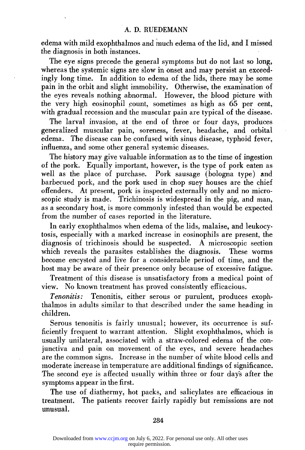edema with mild exophthalmos and much edema of the lid, and I missed the diagnosis in both instances.

The eye signs precede the general symptoms but do not last so long, whereas the systemic signs are slow in onset and may persist an exceedingly long time. In addition to edema of the lids, there may be some pain in the orbit and slight immobility. Otherwise, the examination of the eyes reveals nothing abnormal. However, the blood picture with the very high eosinophil count, sometimes as high as 65 per cent, with gradual recession and the muscular pain are typical of the disease.

The larval invasion, at the end of three or four days, produces generalized muscular pain, soreness, fever, headache, and orbital edema. The disease can be confused with sinus disease, typhoid fever, influenza, and some other general systemic diseases.

The history may give valuable information as to the time of ingestion of the pork. Equally important, however, is the type of pork eaten as well as the place of purchase. Pork sausage (bologna type) and barbecued pork, and the pork used in chop suey houses are the chief offenders. At present, pork is inspected externally only and no microscopic study is made. Trichinosis is widespread in the pig, and man, as a secondary host, is more commonly infested than would be expected from the number of cases reported in the literature.

In early exophthalmos when edema of the lids, malaise, and leukocytosis, especially with a marked increase in eosinophils are present, the diagnosis of trichinosis should be suspected. A microscopic section which reveals the parasites establishes the diagnosis. These worms become encysted and live for a considerable period of time, and the host may be aware of their presence only because of excessive fatigue.

Treatment of this disease is unsatisfactory from a medical point of view. No known treatment has proved consistently efficacious.

*Tenonitis:* Tenonitis, either serous or purulent, produces exophthalmos in adults similar to that described under the same heading in children.

Serous tenonitis is fairly unusual; however, its occurrence is sufficiently frequent to warrant attention. Slight exophthalmos, which is usually unilateral, associated with a straw-colored edema of the conjunctiva and pain on movement of the eyes, and severe headaches are the common signs. Increase in the number of white blood cells and moderate increase in temperature are additional findings of significance. The second eye is affected usually within three or four days after the symptoms appear in the first.

The use of diathermy, hot packs, and salicylates are efficacious in treatment. The patients recover fairly rapidly but remissions are not unusual.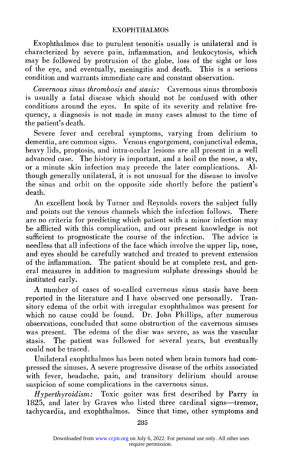Exophthalmos due to purulent tenonitis usually is unilateral and is characterized by severe pain, inflammation, and leukocytosis, which may be followed by protrusion of the globe, loss of the sight or loss of the eye, and eventually, meningitis and death. This is a serious condition and warrants immediate care and constant observation.

*Cavernous sinus thrombosis and stasis:* Cavernous sinus thrombosis is usually a fatal disease which should not be confused with other conditions around the eyes. In spite of its severity and relative frequency, a diagnosis is not made in many cases almost to the time of the patient's death.

Severe fever and cerebral symptoms, varying from delirium to dementia, are common signs. Venous engorgement, conjunctival edema, heavy lids, proptosis, and intra-ocular lesions are all present in a well advanced case. The history is important, and a boil on the nose, a sty, or a minute skin infection may precede the later complications. Although generally unilateral, it is not unusual for the disease to involve the sinus and orbit on the opposite side shortly before the patient's death.

An excellent book by Turner and Reynolds covers the subject fully and points out the venous channels which the infection follows. There are no criteria for predicting which patient with a minor infection may be afflicted with this complication, and our present knowledge is not sufficient to prognosticate the course of the infection. The advice is needless that all infections of the face which involve the upper lip, nose, and eyes should be carefully watched and treated to prevent extension of the inflammation. The patient should be at complete rest, and general measures in addition to magnesium sulphate dressings should be instituted early.

A number of cases of so-called cavernous sinus stasis have been reported in the literature and I have observed one personally. Transitory edema of the orbit with irregular exophthalmos was present for which no cause could be found. Dr. John Phillips, after numerous observations, concluded that some obstruction of the cavernous sinuses was present. The edema of the disc was severe, as was the vascular stasis. The patient was followed for several years, but eventually could not be traced.

Unilateral exophthalmos has been noted when brain tumors had compressed the sinuses. A severe progressive disease of the orbits associated with fever, headache, pain, and transitory delirium should arouse suspicion of some complications in the cavernous sinus.

*Hyperthyroidism:* Toxic goiter was first described by Parry in 1825, and later by Graves who listed three cardinal signs—tremor, tachycardia, and exophthalmos. Since that time, other symptoms and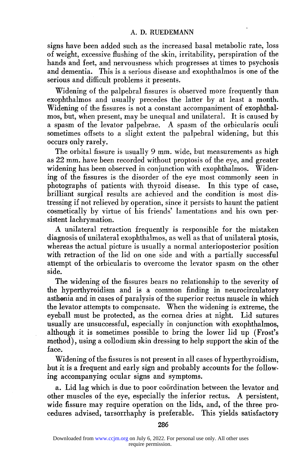#### A. D. RUEDEMANN

signs have been added such as the increased basal metabolic rate, loss of weight, excessive flushing of the skin, irritability, perspiration of the hands and feet, and nervousness which progresses at times to psychosis and dementia. This is a serious disease and exophthalmos is one of the serious and difficult problems it presents.

Widening of the palpebral fissures is observed more frequently than exophthalmos and usually precedes the latter by at least a month. Widening of the fissures is not a constant accompaniment of exophthalmos, but, when present, may be unequal and unilateral. It is caused by a spasm of the levator palpebrae. A spasm of the orbicularis oculi sometimes offsets to a slight extent the palpebral widening, but this occurs only rarely.

The orbital fissure is usually 9 mm. wide, but measurements as high as 22 mm. have been recorded without proptosis of the eye, and greater widening has been observed in conjunction with exophthalmos. Widening of the fissures is the disorder of the eye most commonly seen in photographs of patients with thyroid disease. In this type of case, brilliant surgical results are achieved and the condition is most distressing if not relieved by operation, since it persists to haunt the patient cosmetically by virtue of his friends' lamentations and his own persistent lachrymation.

A unilateral retraction frequently is responsible for the mistaken diagnosis of unilateral exophthalmos, as well as that of unilateral ptosis, whereas the actual picture is usually a normal anterioposterior position with retraction of the lid on one side and with a partially successful attempt of the orbicularis to overcome the levator spasm on the other side.

The widening of the fissures bears no relationship to the severity of the hyperthyroidism and is a common finding in neurocirculatory asthenia and in cases of paralysis of the superior rectus muscle in which the levator attempts to compensate. When the widening is extreme, the eyeball must be protected, as the cornea dries at night. Lid sutures usually are unsuccessful, especially in conjunction with exophthalmos, although it is sometimes possible to bring the lower lid up (Frost's method), using a collodium skin dressing to help support the skin of the face.

Widening of the fissures is not present in all cases of hyperthyroidism, but it is a frequent and early sign and probably accounts for the following accompanying ocular signs and symptoms.

a. Lid lag which is due to poor coordination between the levator and other muscles of the eye, especially the inferior rectus. A persistent, wide fissure may require operation on the lids, and, of the three procedures advised, tarsorrhaphy is preferable. This yields satisfactory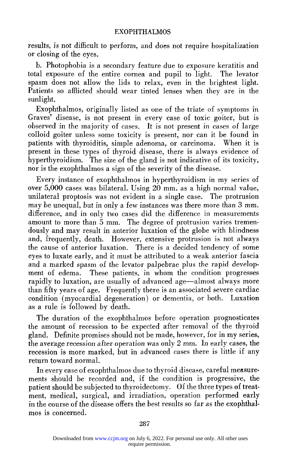results, is not difficult to perform, and does not require hospitalization or closing of the eyes.

b. Photophobia is a secondary feature due to exposure keratitis and total exposure of the entire cornea and pupil to light. The levator spasm does not allow the lids to relax, even in the brightest light. Patients so afflicted should wear tinted lenses when they are in the sunlight.

Exophthalmos, originally listed as one of the triate of symptoms in Graves' disease, is not present in every case of toxic goiter, but is observed in the majority of cases. It is not present in cases of large colloid goiter unless some toxicity is present, nor can it be found in patients with thyroiditis, simple adenoma, or carcinoma. When it is present in these types of thyroid disease, there is always evidence of hyperthyroidism. The size of the gland is not indicative of its toxicity, nor is the exophthalmos a sign of the severity of the disease.

Every instance of exophthalmos in hyperthyroidism in my series of over  $5,000$  cases was bilateral. Using  $20$  mm, as a high normal value, unilateral proptosis was not evident in a single case. The protrusion may be unequal, but in only a few instances was there more than 3 mm. difference, and in only two cases did the difference in measurements amount to more than 5 mm. The degree of protrusion varies tremendously and may result in anterior luxation of the globe with blindness and, frequently, death. However, extensive protrusion is not always the cause of anterior luxation. There is a decided tendency of some eyes to luxate early, and it must be attributed to a weak anterior fascia and a marked spasm of the levator palpebrae plus the rapid development of edema. These patients, in whom the condition progresses rapidly to luxation, are usually of advanced age—almost always more than fifty years of age. Frequently there is an associated severe cardiac condition (myocardial degeneration) or dementia, or both. Luxation as a rule is followed by death.

The duration of the exophthalmos before operation prognosticates the amount of recession to be expected after removal of the thyroid gland. Definite promises should not be made, however, for in my series, the average recession after operation was only 2 mm. In early cases, the recession is more marked, but in advanced cases there is little if any return toward normal.

In every case of exophthalmos due to thyroid disease, careful measurements should be recorded and, if the condition is progressive, the patient should be subjected to thyroidectomy. Of the three types of treatment, medical, surgical, and irradiation, operation performed early in the course of the disease offers the best results so far as the exophthalmos is concerned.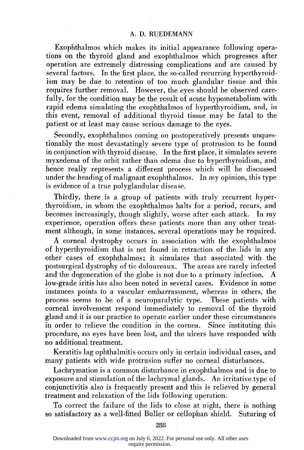#### A. D. RUEDEMANN

Exophthalmos which makes its initial appearance following operations on the thyroid gland and exophthalmos which progresses after operation are extremely distressing complications and are caused by several factors. In the first place, the so-called recurring hyperthyroidism may be due to retention of too much glandular tissue and this requires further removal. However, the eyes should be observed carefully, for the condition may be the result of acute hypometabolism with rapid edema simulating the exophthalmos of hyperthyroidism, and, in this event, removal of additional thyroid tissue may be fatal to the patient or at least may cause serious damage to the eyes.

Secondly, exophthalmos coming on postoperatively presents unquestionably the most devastatingly severe type of protrusion to be found in conjunction with thyroid disease. In the first place, it simulates severe myxedema of the orbit rather than edema due to hyperthyroidism, and hence really represents a different process which will be discussed under the heading of malignant exophthalmos. In my opinion, this type is evidence of a true polyglandular disease.

Thirdly, there is a group of patients with truly recurrent hyperthyroidism, in whom the exophthalmos halts for a period, recurs, and becomes increasingly, though slightly, worse after each attack. In my experience, operation offers these patients more than any other treatment although, in some instances, several operations may be required.

A corneal dystrophy occurs in association with the exophthalmos of hyperthyroidism that is not found in retraction of the lids in any other cases of exophthalmos; it simulates that associated with the postsurgical dystrophy of tic doloureaux. The areas are rarely infected and the degeneration of the globe is not due to a primary infection. low-grade iritis has also been noted in several cases. Evidence in some instances points to a vascular embarrassment, whereas in others, the process seems to be of a neuroparalytic type. These patients with corneal involvement respond immediately to removal of the thyroid gland and it is our practice to operate earlier under these circumstances in order to relieve the condition in the cornea. Since instituting this procedure, no eyes have been lost, and the ulcers have responded with no additional treatment.

Keratitis lag ophthalmitis occurs only in certain individual cases, and many patients with wide protrusion suffer no corneal disturbances.

Lachrymation is a common disturbance in exophthalmos and is due to exposure and stimulation of the lachrymal glands. An irritative type of conjunctivitis also is frequently present and this is relieved by general treatment and relaxation of the lids following operation.

To correct the failure of the lids to close at night, there is nothing so satisfactory as a well-fitted Buller or cellophan shield. Suturing of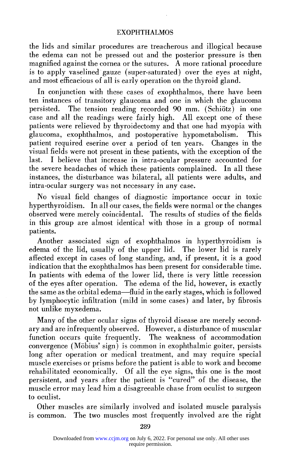the lids and similar procedures are treacherous and illogical because the edema can not be pressed out and the posterior pressure is then magnified against the cornea or the sutures.  $\overline{A}$  more rational procedure is to apply vaselined gauze (super-saturated) over the eyes at night, and most efficacious of all is early operation on the thyroid gland.

In conjunction with these cases of exophthalmos, there have been ten instances of transitory glaucoma and one in which the glaucoma persisted. The tension reading recorded 90 mm. (Schiötz) in one case and all the readings were fairly high. All except one of these patients were relieved by thyroidectomy and that one had myopia with glaucoma, exophthalmos, and postoperative hypometabolism. This patient required eserine over a period of ten years. Changes in the visual fields were not present in these patients, with the exception of the last. I believe that increase in intra-ocular pressure accounted for the severe headaches of which these patients complained. In all these instances, the disturbance was bilateral, all patients were adults, and intra-ocular surgery was not necessary in any case.

No visual field changes of diagnostic importance occur in toxic hyperthyroidism. In all our cases, the fields were normal or the changes observed were merely coincidental. The results of studies of the fields in this group are almost identical with those in a group of normal patients.

Another associated sign of exophthalmos in hyperthyroidism is edema of the lid, usually of the upper lid. The lower lid is rarely affected except in cases of long standing, and, if present, it is a good indication that the exophthalmos has been present for considerable time. In patients with edema of the lower lid, there is very little recession of the eyes after operation. The edema of the lid, however, is exactly the same as the orbital edema—fluid in the early stages, which is followed by lymphocytic infiltration (mild in some cases) and later, by fibrosis not unlike myxedema.

Many of the other ocular signs of thyroid disease are merely secondary and are infrequently observed. However, a disturbance of muscular function occurs quite frequently. The weakness of accommodation convergence (Möbius' sign) is common in exophthalmic goiter, persists long after operation or medical treatment, and may require special muscle exercises or prisms before the patient is able to work and become rehabilitated economically. Of all the eye signs, this one is the most persistent, and years after the patient is "cured" of the disease, the muscle error may lead him a disagreeable chase from oculist to surgeon to oculist.

Other muscles are similarly involved and isolated muscle paralysis is common. The two muscles most frequently involved are the right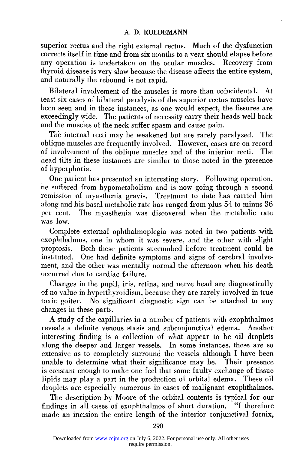## A. D. RUEDEMANN

superior rectus and the right external rectus. Much of the dysfunction corrects itself in time and from six months to a year should elapse before any operation is undertaken on the ocular muscles. Recovery from thyroid disease is very slow because the disease affects the entire system, and naturally the rebound is not rapid.

Bilateral involvement of the muscles is more than coincidental. At least six cases of bilateral paralysis of the superior rectus muscles have been seen and in these instances, as one would expect, the fissures are exceedingly wide. The patients of necessity carry their heads well back and the muscles of the neck suffer spasm and cause pain.

The internal recti may be weakened but are rarely paralyzed. The oblique muscles are frequently involved. However, cases are on record of involvement of the oblique muscles and of the inferior recti. The head tilts in these instances are similar to those noted in the presence of hyperphoria.

One patient has presented an interesting story. Following operation, he suffered from hypometabolism and is now going through a second remission of myasthenia gravis. Treatment to date has carried him along and his basal metabolic rate has ranged from plus 54 to minus 36 per cent. The myasthenia was discovered when the metabolic rate was low.

Complete external ophthalmoplegia was noted in two patients with exophthalmos, one in whom it was severe, and the other with slight proptosis. Both these patients succumbed before treatment could be instituted. One had definite symptoms and signs of cerebral involvement, and the other was mentally normal the afternoon when his death occurred due to cardiac failure.

Changes in the pupil, iris, retina, and nerve head are diagnostically of no value in hyperthyroidism, because they are rarely involved in true toxic goiter. No significant diagnostic sign can be attached to any changes in these parts.

A study of the capillaries in a number of patients with exophthalmos reveals a definite venous stasis and subconjunctival edema. Another interesting finding is a collection of what appear to be oil droplets along the deeper and larger vessels. In some instances, these are so extensive as to completely surround the vessels although I have been unable to determine what their significance may be. Their presence is constant enough to make one feel that some faulty exchange of tissue lipids may play a part in the production of orbital edema. These oil droplets are especially numerous in cases of malignant exophthalmos.

The description by Moore of the orbital contents is typical for our findings in all cases of exophthalmos of short duration. "I therefore made an incision the entire length of the inferior conjunctival fornix,